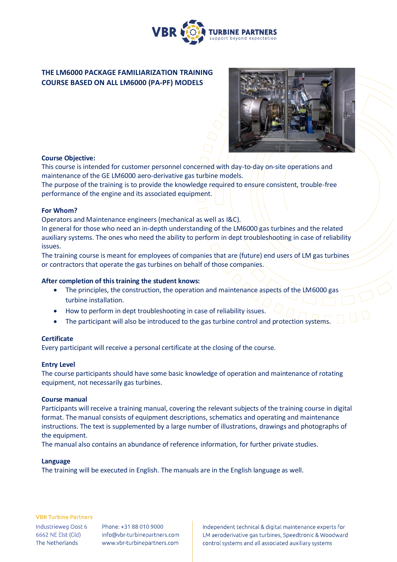

# **THE LM6000 PACKAGE FAMILIARIZATION TRAINING COURSE BASED ON ALL LM6000 (PA-PF) MODELS**



# **Course Objective:**

This course is intended for customer personnel concerned with day-to-day on-site operations and maintenance of the GE LM6000 aero-derivative gas turbine models.

The purpose of the training is to provide the knowledge required to ensure consistent, trouble-free performance of the engine and its associated equipment.

# **For Whom?**

Operators and Maintenance engineers (mechanical as well as I&C).

In general for those who need an in-depth understanding of the LM6000 gas turbines and the related auxiliary systems. The ones who need the ability to perform in dept troubleshooting in case of reliability issues.

The training course is meant for employees of companies that are (future) end users of LM gas turbines or contractors that operate the gas turbines on behalf of those companies.

#### **After completion of this training the student knows:**

- The principles, the construction, the operation and maintenance aspects of the LM6000 gas turbine installation.
- How to perform in dept troubleshooting in case of reliability issues.
- The participant will also be introduced to the gas turbine control and protection systems.

#### **Certificate**

Every participant will receive a personal certificate at the closing of the course.

#### **Entry Level**

The course participants should have some basic knowledge of operation and maintenance of rotating equipment, not necessarily gas turbines.

#### **Course manual**

Participants will receive a training manual, covering the relevant subjects of the training course in digital format. The manual consists of equipment descriptions, schematics and operating and maintenance instructions. The text is supplemented by a large number of illustrations, drawings and photographs of the equipment.

The manual also contains an abundance of reference information, for further private studies.

#### **Language**

The training will be executed in English. The manuals are in the English language as well.

#### **VBR Turbine Partners**

Industrieweg Oost 6 6662 NE Elst (Gld) The Netherlands

Phone: +31 88 010 9000 info@vbr-turbinepartners.com www.vbr-turbinepartners.com Independent technical & digital maintenance experts for LM aeroderivative gas turbines, Speedtronic & Woodward control systems and all associated auxiliary systems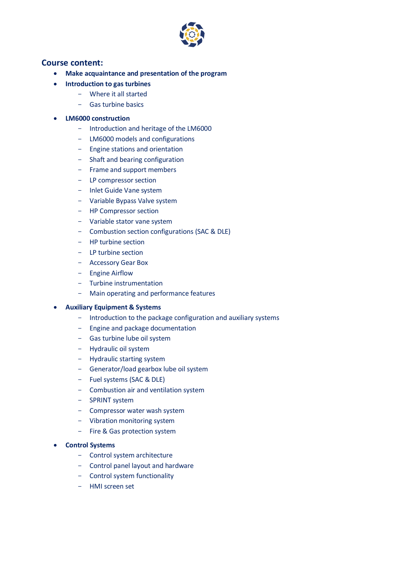

# **Course content:**

- **Make acquaintance and presentation of the program**
- **Introduction to gas turbines** 
	- Where it all started
	- Gas turbine basics

## • **LM6000 construction**

- Introduction and heritage of the LM6000
- LM6000 models and configurations
- Engine stations and orientation
- Shaft and bearing configuration
- Frame and support members
- LP compressor section
- Inlet Guide Vane system
- Variable Bypass Valve system
- HP Compressor section
- Variable stator vane system
- Combustion section configurations (SAC & DLE)
- HP turbine section
- LP turbine section
- Accessory Gear Box
- Engine Airflow
- Turbine instrumentation
- Main operating and performance features

#### • **Auxiliary Equipment & Systems**

- Introduction to the package configuration and auxiliary systems
- Engine and package documentation
- Gas turbine lube oil system
- Hydraulic oil system
- Hydraulic starting system
- Generator/load gearbox lube oil system
- Fuel systems (SAC & DLE)
- Combustion air and ventilation system
- SPRINT system
- Compressor water wash system
- Vibration monitoring system
- Fire & Gas protection system

#### • **Control Systems**

- Control system architecture
- Control panel layout and hardware
- Control system functionality
- HMI screen set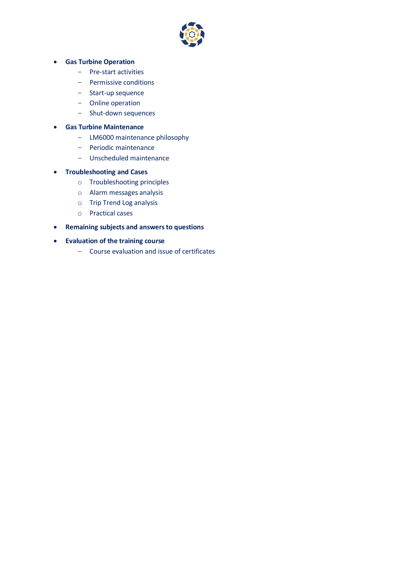

# • **Gas Turbine Operation**

- Pre-start activities
- Permissive conditions
- Start-up sequence
- Online operation
- Shut-down sequences

# • **Gas Turbine Maintenance**

- LM6000 maintenance philosophy
- Periodic maintenance
- Unscheduled maintenance

# • **Troubleshooting and Cases**

- o Troubleshooting principles
- o Alarm messages analysis
- o Trip Trend Log analysis
- o Practical cases
- **Remaining subjects and answers to questions**
- **Evaluation of the training course**
	- Course evaluation and issue of certificates